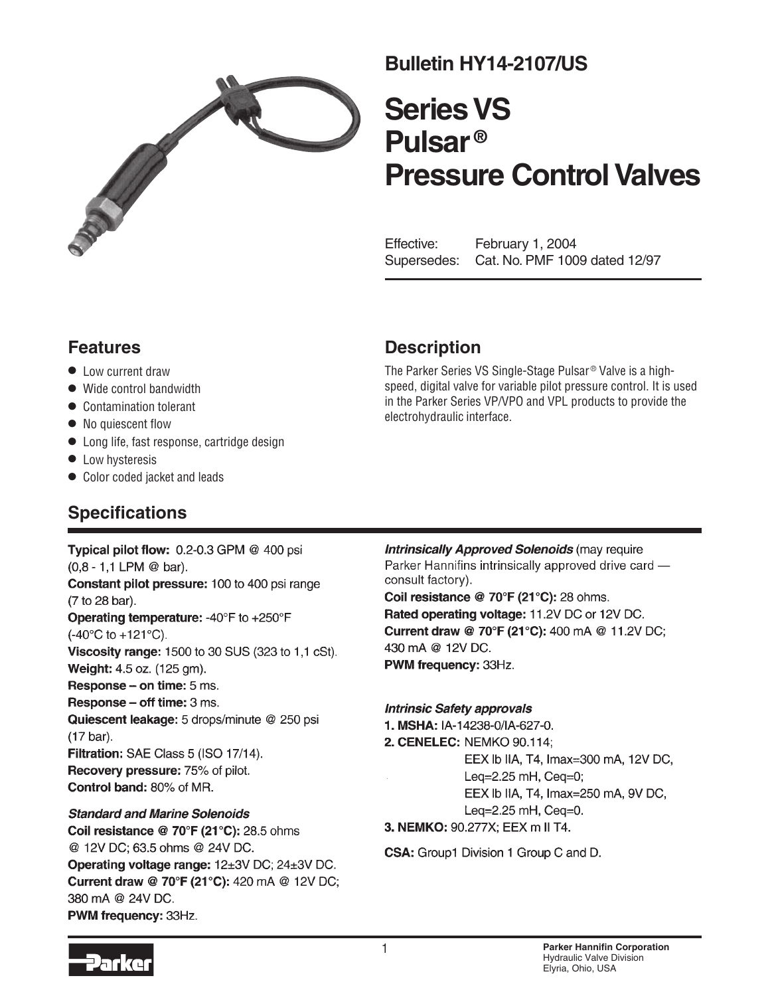

# **Bulletin HY14-2107/US**

# **Series VS Pulsar ® Pressure Control Valves**

Effective: February 1, 2004 Supersedes: Cat. No. PMF 1009 dated 12/97

### **Features**

- $\bullet$  Low current draw
- Wide control bandwidth
- Contamination tolerant
- No quiescent flow
- Long life, fast response, cartridge design
- Low hysteresis
- Color coded jacket and leads

### **Description**

The Parker Series VS Single-Stage Pulsar® Valve is a highspeed, digital valve for variable pilot pressure control. It is used in the Parker Series VP/VPO and VPL products to provide the electrohydraulic interface.

## **Specifications**

Typical pilot flow: 0.2-0.3 GPM @ 400 psi  $(0,8 - 1,1$  LPM @ bar). Constant pilot pressure: 100 to 400 psi range (7 to 28 bar). Operating temperature: -40°F to +250°F  $(-40^{\circ}C \text{ to } +121^{\circ}C).$ Viscosity range: 1500 to 30 SUS (323 to 1,1 cSt). Weight: 4.5 oz. (125 gm). Response - on time: 5 ms. **Response – off time:**  $3$  ms. Quiescent leakage: 5 drops/minute @ 250 psi  $(17 \text{ bar})$ . Filtration: SAE Class 5 (ISO 17/14). **Recovery pressure: 75% of pilot.** Control band: 80% of MR.

#### **Standard and Marine Solenoids**

Coil resistance @ 70°F (21°C): 28.5 ohms @ 12V DC; 63.5 ohms @ 24V DC. Operating voltage range: 12±3V DC; 24±3V DC. Current draw @ 70°F (21°C): 420 mA @ 12V DC; 380 mA @ 24V DC. PWM frequency: 33Hz.

**Intrinsically Approved Solenoids (may require** Parker Hannifins intrinsically approved drive card consult factory). Coil resistance @ 70°F (21°C): 28 ohms. Rated operating voltage: 11.2V DC or 12V DC.

Current draw @ 70°F (21°C): 400 mA @ 11.2V DC; 430 mA @ 12V DC. PWM frequency: 33Hz.

#### **Intrinsic Safety approvals**

1. MSHA: IA-14238-0/IA-627-0. 2. CENELEC: NEMKO 90.114; EEX Ib IIA, T4, Imax=300 mA, 12V DC, Leg=2.25 mH, Ceg=0; EEX Ib IIA, T4, Imax=250 mA, 9V DC, Leq=2.25 mH, Ceq=0. 3. NEMKO: 90.277X; EEX m II T4.

**CSA:** Group1 Division 1 Group C and D.